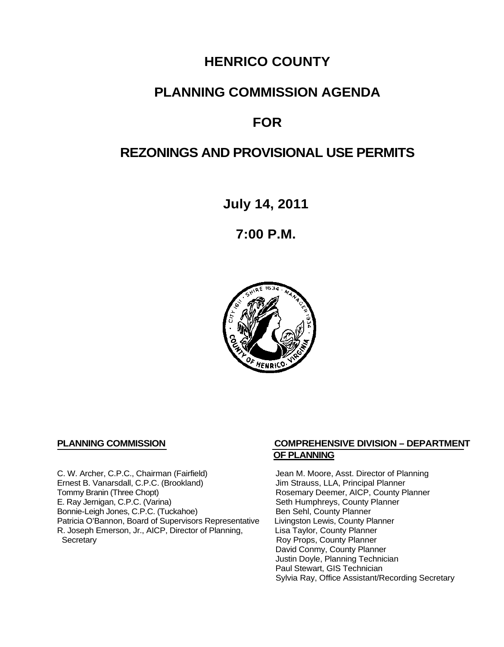## **HENRICO COUNTY**

## **PLANNING COMMISSION AGENDA**

# **FOR**

## **REZONINGS AND PROVISIONAL USE PERMITS**

**July 14, 2011**

**7:00 P.M.**



C. W. Archer, C.P.C., Chairman (Fairfield) Jean M. Moore, Asst. Director of Planning<br>
Ernest B. Vanarsdall, C.P.C. (Brookland) Jim Strauss, LLA, Principal Planner Ernest B. Vanarsdall, C.P.C. (Brookland)<br>Tommy Branin (Three Chopt) Tommy Branin (Three Chopt)<br>
E. Ray Jernigan, C.P.C. (Varina) Seth Humphreys, County Planner E. Ray Jernigan, C.P.C. (Varina) Bonnie-Leigh Jones, C.P.C. (Tuckahoe) Ben Sehl, County Planner<br>Patricia O'Bannon, Board of Supervisors Representative Livingston Lewis, County Planner Patricia O'Bannon, Board of Supervisors Representative Livingston Lewis, County Planner<br>R. Joseph Emerson, Jr., AICP, Director of Planning, Lisa Taylor, County Planner R. Joseph Emerson, Jr., AICP, Director of Planning, Secretary

#### **PLANNING COMMISSION COMPREHENSIVE DIVISION – DEPARTMENT OF PLANNING**

Seth Humphreys, County Planner<br>Ben Sehl, County Planner Roy Props, County Planner David Conmy, County Planner Justin Doyle, Planning Technician Paul Stewart, GIS Technician Sylvia Ray, Office Assistant/Recording Secretary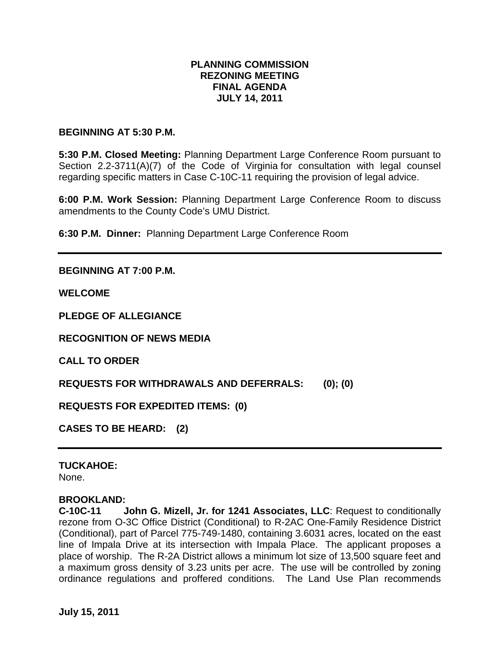### **PLANNING COMMISSION REZONING MEETING FINAL AGENDA JULY 14, 2011**

#### **BEGINNING AT 5:30 P.M.**

**5:30 P.M. Closed Meeting:** Planning Department Large Conference Room pursuant to Section 2.2-3711(A)(7) of the Code of Virginia for consultation with legal counsel regarding specific matters in Case C-10C-11 requiring the provision of legal advice.

**6:00 P.M. Work Session:** Planning Department Large Conference Room to discuss amendments to the County Code's UMU District.

**6:30 P.M. Dinner:** Planning Department Large Conference Room

#### **BEGINNING AT 7:00 P.M.**

**WELCOME**

**PLEDGE OF ALLEGIANCE**

**RECOGNITION OF NEWS MEDIA**

**CALL TO ORDER**

**REQUESTS FOR WITHDRAWALS AND DEFERRALS: (0); (0)**

**REQUESTS FOR EXPEDITED ITEMS: (0)**

**CASES TO BE HEARD: (2)**

#### **TUCKAHOE:**

None.

#### **BROOKLAND:**

**C-10C-11 John G. Mizell, Jr. for 1241 Associates, LLC**: Request to conditionally rezone from O-3C Office District (Conditional) to R-2AC One-Family Residence District (Conditional), part of Parcel 775-749-1480, containing 3.6031 acres, located on the east line of Impala Drive at its intersection with Impala Place. The applicant proposes a place of worship. The R-2A District allows a minimum lot size of 13,500 square feet and a maximum gross density of 3.23 units per acre. The use will be controlled by zoning ordinance regulations and proffered conditions. The Land Use Plan recommends